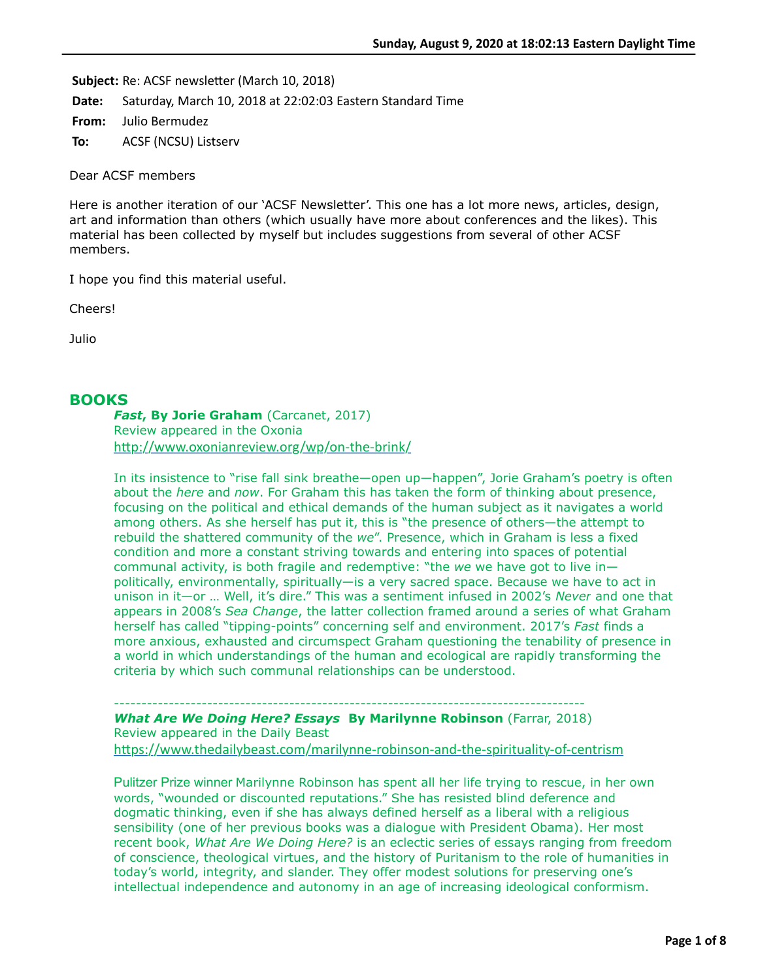Subject: Re: ACSF newsletter (March 10, 2018)

**Date:** Saturday, March 10, 2018 at 22:02:03 Eastern Standard Time

**From:** Julio Bermudez

**To:** ACSF (NCSU) Listserv

Dear ACSF members

Here is another iteration of our 'ACSF Newsletter'. This one has a lot more news, articles, design, art and information than others (which usually have more about conferences and the likes). This material has been collected by myself but includes suggestions from several of other ACSF members.

I hope you find this material useful.

Cheers!

Julio

# **BOOKS**

*Fast***, By Jorie Graham** (Carcanet, 2017) Review appeared in the Oxonia http://www.oxonianreview.org/wp/on-the-brink/

In its insistence to "rise fall sink breathe—open up—happen", Jorie Graham's poetry is often about the *here* and *now*. For Graham this has taken the form of thinking about presence, focusing on the political and ethical demands of the human subject as it navigates a world among others. As she herself has put it, this is "the presence of others—the attempt to rebuild the shattered community of the *we*". Presence, which in Graham is less a fixed condition and more a constant striving towards and entering into spaces of potential communal activity, is both fragile and redemptive: "the *we* we have got to live in politically, environmentally, spiritually—is a very sacred space. Because we have to act in unison in it—or … Well, it's dire." This was a sentiment infused in 2002's *Never* and one that appears in 2008's *Sea Change*, the latter collection framed around a series of what Graham herself has called "tipping-points" concerning self and environment. 2017's *Fast* finds a more anxious, exhausted and circumspect Graham questioning the tenability of presence in a world in which understandings of the human and ecological are rapidly transforming the criteria by which such communal relationships can be understood.

--------------------------------------------------------------------------------------

*What Are We Doing Here? Essays* **By Marilynne Robinson** (Farrar, 2018) Review appeared in the Daily Beast https://www.thedailybeast.com/marilynne-robinson-and-the-spirituality-of-centrism

Pulitzer Prize winner Marilynne Robinson has spent all her life trying to rescue, in her own words, "wounded or discounted reputations." She has resisted blind deference and dogmatic thinking, even if she has always defined herself as a liberal with a religious sensibility (one of her previous books was a dialogue with President Obama). Her most recent book, *What Are We Doing Here?* is an eclectic series of essays ranging from freedom of conscience, theological virtues, and the history of Puritanism to the role of humanities in today's world, integrity, and slander. They offer modest solutions for preserving one's intellectual independence and autonomy in an age of increasing ideological conformism.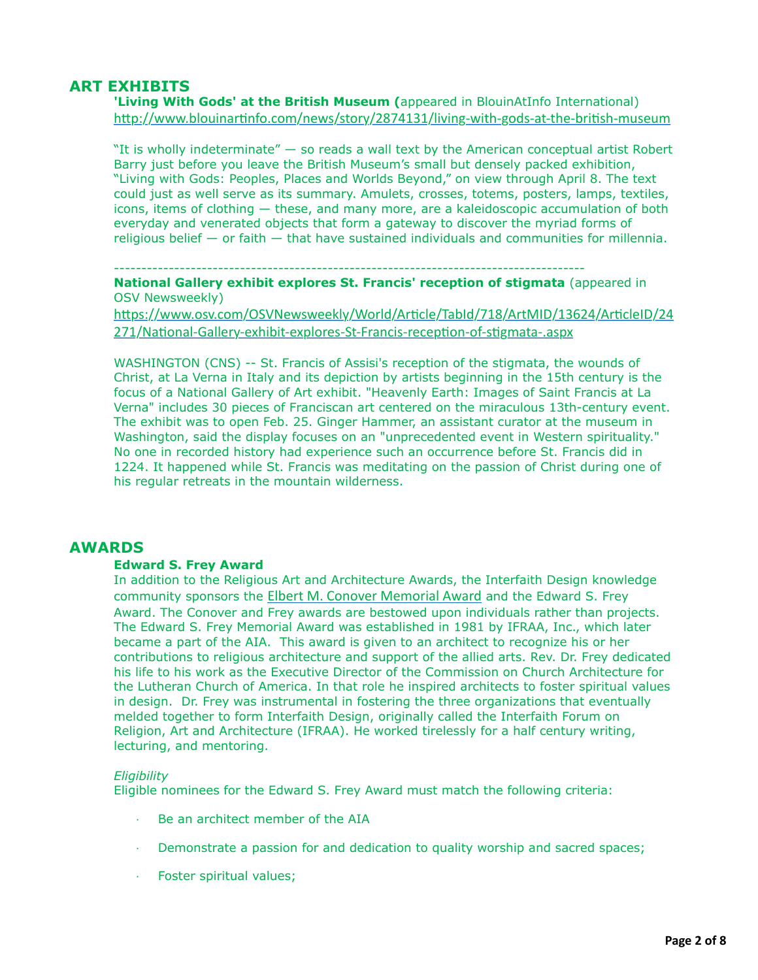# **ART EXHIBITS**

**'Living With Gods' at the British Museum (**appeared in BlouinAtInfo International) http://www.blouinartinfo.com/news/story/2874131/living-with-gods-at-the-british-museum

"It is wholly indeterminate" — so reads a wall text by the American conceptual artist Robert Barry just before you leave the British Museum's small but densely packed exhibition, "Living with Gods: Peoples, Places and Worlds Beyond," on view through April 8. The text could just as well serve as its summary. Amulets, crosses, totems, posters, lamps, textiles, icons, items of clothing — these, and many more, are a kaleidoscopic accumulation of both everyday and venerated objects that form a gateway to discover the myriad forms of religious belief — or faith — that have sustained individuals and communities for millennia.

--------------------------------------------------------------------------------------

**National Gallery exhibit explores St. Francis' reception of stigmata** (appeared in OSV Newsweekly)

https://www.osv.com/OSVNewsweekly/World/Article/TabId/718/ArtMID/13624/ArticleID/24 271/National-Gallery-exhibit-explores-St-Francis-reception-of-stigmata-.aspx

WASHINGTON (CNS) -- St. Francis of Assisi's reception of the stigmata, the wounds of Christ, at La Verna in Italy and its depiction by artists beginning in the 15th century is the focus of a National Gallery of Art exhibit. "Heavenly Earth: Images of Saint Francis at La Verna" includes 30 pieces of Franciscan art centered on the miraculous 13th-century event. The exhibit was to open Feb. 25. Ginger Hammer, an assistant curator at the museum in Washington, said the display focuses on an "unprecedented event in Western spirituality." No one in recorded history had experience such an occurrence before St. Francis did in 1224. It happened while St. Francis was meditating on the passion of Christ during one of his regular retreats in the mountain wilderness.

## **AWARDS**

### **Edward S. Frey Award**

In addition to the Religious Art and Architecture Awards, the Interfaith Design knowledge community sponsors the [Elbert M. Conover Memorial Award](http://network.aia.org/Go.aspx?MicrositeGroupTypeRouteDesignKey=1133cd90-7930-432f-9a96-998d565ceade&NavigationKey=b688afad-543a-466a-98fb-c8b92c51fab9) and the Edward S. Frey Award. The Conover and Frey awards are bestowed upon individuals rather than projects. The Edward S. Frey Memorial Award was established in 1981 by IFRAA, Inc., which later became a part of the AIA. This award is given to an architect to recognize his or her contributions to religious architecture and support of the allied arts. Rev. Dr. Frey dedicated his life to his work as the Executive Director of the Commission on Church Architecture for the Lutheran Church of America. In that role he inspired architects to foster spiritual values in design. Dr. Frey was instrumental in fostering the three organizations that eventually melded together to form Interfaith Design, originally called the Interfaith Forum on Religion, Art and Architecture (IFRAA). He worked tirelessly for a half century writing, lecturing, and mentoring.

### *Eligibility*

Eligible nominees for the Edward S. Frey Award must match the following criteria:

- · Be an architect member of the AIA
- Demonstrate a passion for and dedication to quality worship and sacred spaces;
- · Foster spiritual values;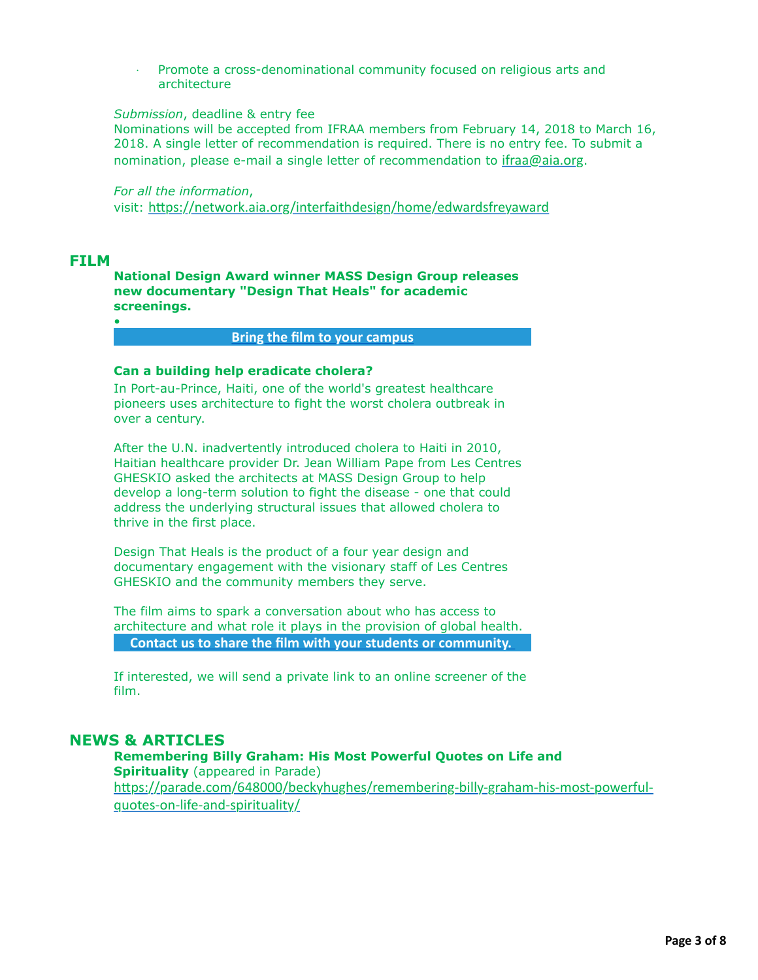· Promote a cross-denominational community focused on religious arts and architecture

## *Submission*, deadline & entry fee

Nominations will be accepted from IFRAA members from February 14, 2018 to March 16, 2018. A single letter of recommendation is required. There is no entry fee. To submit a nomination, please e-mail a single letter of recommendation to [ifraa@aia.org](mailto:ifraa@aia.org?subject=Frey%20Nomination).

*For all the information*,

visit: https://network.aia.org/interfaithdesign/home/edwardsfreyaward

# **FILM**

•

**National Design Award winner MASS Design Group releases new documentary "Design That Heals" for academic screenings.**

# **[Bring the film to your campus](mailto:hello@massdesigngroup.org?subject=I)**

## **Can a building help eradicate cholera?**

In Port-au-Prince, Haiti, one of the world's greatest healthcare pioneers uses architecture to fight the worst cholera outbreak in over a century.

After the U.N. inadvertently introduced cholera to Haiti in 2010, Haitian healthcare provider Dr. Jean William Pape from Les Centres GHESKIO asked the architects at MASS Design Group to help develop a long-term solution to fight the disease - one that could address the underlying structural issues that allowed cholera to thrive in the first place.

Design That Heals is the product of a four year design and documentary engagement with the visionary staff of Les Centres GHESKIO and the community members they serve.

The film aims to spark a conversation about who has access to architecture and what role it plays in the provision of global health. **[Contact us to share the film with your students or community.](mailto:hello@massdesigngorup.org?subject=Please%20send%20us%20a%20private%20screener&body=Hello-%0AI%20am%20interested%20in%20viewing%20%22Design%20That%20Heals%22.%20)** 

If interested, we will send a private link to an online screener of the film.

# **NEWS & ARTICLES**

#### **Remembering Billy Graham: His Most Powerful Quotes on Life and Spirituality** (appeared in Parade)

https://parade.com/648000/beckyhughes/remembering-billy-graham-his-most-powerfulquotes-on-life-and-spirituality/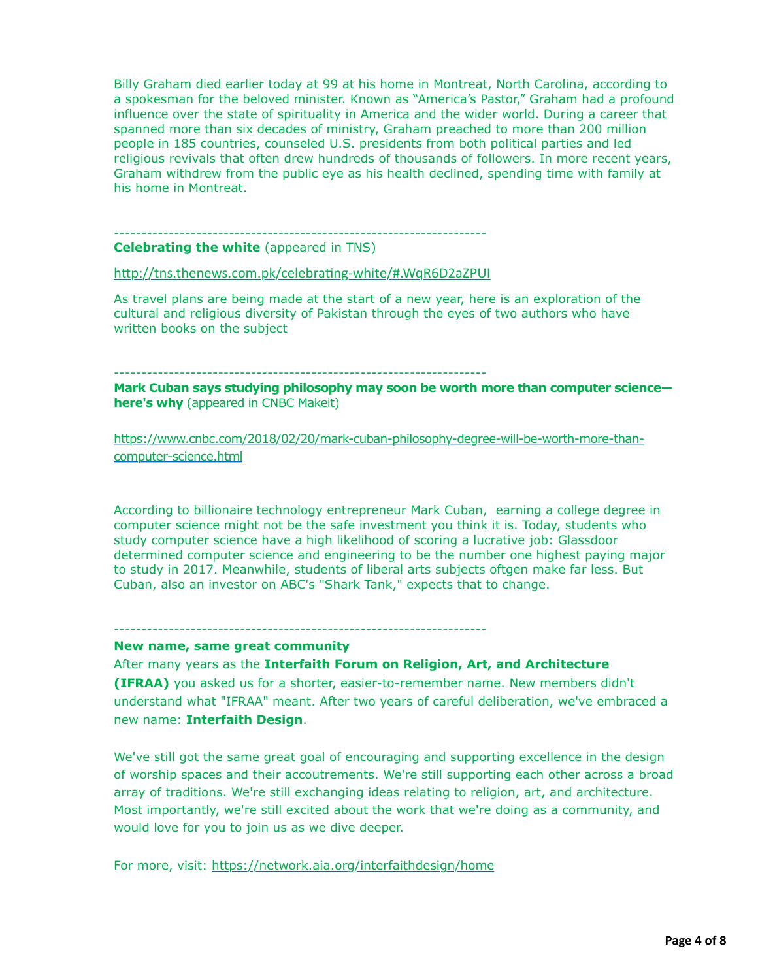Billy Graham died earlier today at 99 at his home in Montreat, North Carolina, according to a spokesman for the beloved minister. Known as "America's Pastor," Graham had a profound influence over the state of spirituality in America and the wider world. During a career that spanned more than six decades of ministry, Graham preached to more than 200 million people in 185 countries, counseled U.S. presidents from both political parties and led religious revivals that often drew hundreds of thousands of followers. In more recent years, Graham withdrew from the public eye as his health declined, spending time with family at his home in Montreat.

#### -------------------------------------------------------------------- **Celebrating the white** (appeared in TNS)

http://tns.thenews.com.pk/celebrating-white/#.WqR6D2aZPUI

As travel plans are being made at the start of a new year, here is an exploration of the cultural and religious diversity of Pakistan through the eyes of two authors who have written books on the subject

--------------------------------------------------------------------

**Mark Cuban says studying philosophy may soon be worth more than computer science here's why** (appeared in CNBC Makeit)

[https://www.cnbc.com/2018/02/20/mark-cuban-philosophy-degree-will-be-worth-more-than](https://www.cnbc.com/2018/02/20/mark-cuban-philosophy-degree-will-be-worth-more-than-computer-science.html)computer-science.html

According to billionaire technology entrepreneur Mark Cuban, earning a college degree in computer science might not be the safe investment you think it is. Today, students who study computer science have a high likelihood of scoring a lucrative job: Glassdoor determined computer science and engineering to be the number one highest paying major to study in 2017. Meanwhile, students of liberal arts subjects oftgen make far less. But Cuban, also an investor on ABC's "Shark Tank," expects that to change.

#### --------------------------------------------------------------------

### **New name, same great community**

After many years as the **Interfaith Forum on Religion, Art, and Architecture (IFRAA)** you asked us for a shorter, easier-to-remember name. New members didn't understand what "IFRAA" meant. After two years of careful deliberation, we've embraced a new name: **Interfaith Design**.

We've still got the same great goal of encouraging and supporting excellence in the design of worship spaces and their accoutrements. We're still supporting each other across a broad array of traditions. We're still exchanging ideas relating to religion, art, and architecture. Most importantly, we're still excited about the work that we're doing as a community, and would love for you to join us as we dive deeper.

For more, visit: <https://network.aia.org/interfaithdesign/home>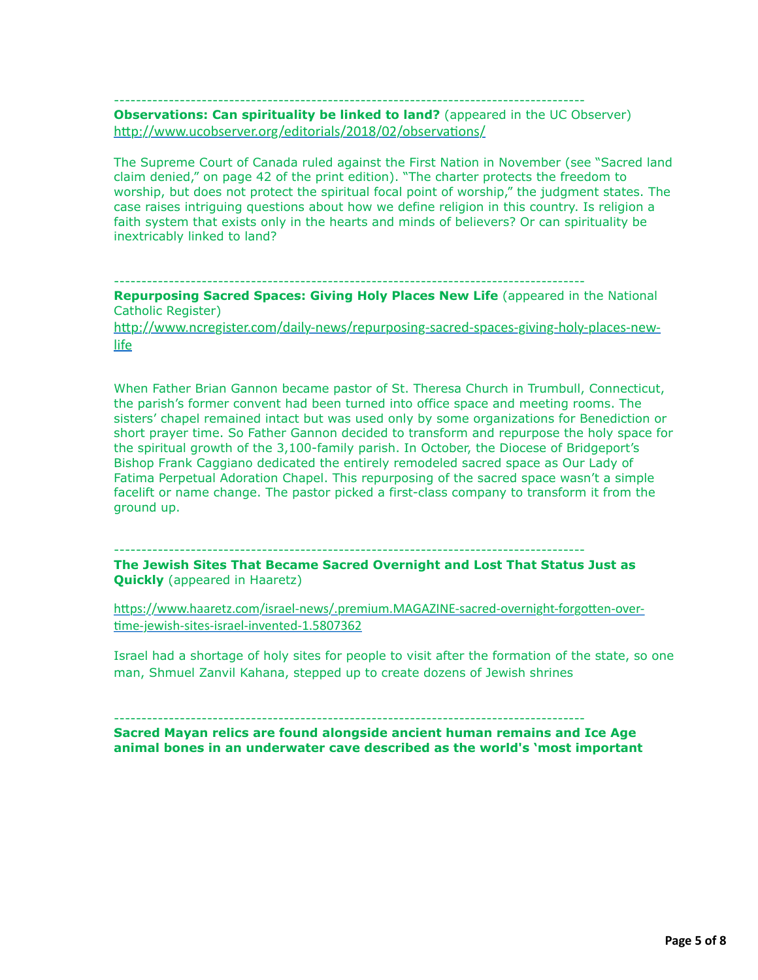--------------------------------------------------------------------------------------

**Observations: Can spirituality be linked to land?** (appeared in the UC Observer) http://www.ucobserver.org/editorials/2018/02/observations/

The Supreme Court of Canada ruled against the First Nation in November (see "Sacred land claim denied," on page 42 of the print edition). "The charter protects the freedom to worship, but does not protect the spiritual focal point of worship," the judgment states. The case raises intriguing questions about how we define religion in this country. Is religion a faith system that exists only in the hearts and minds of believers? Or can spirituality be inextricably linked to land?

--------------------------------------------------------------------------------------

**Repurposing Sacred Spaces: Giving Holy Places New Life** (appeared in the National Catholic Register)

http://www.ncregister.com/daily-news/repurposing-sacred-spaces-giving-holy-places-newlife

When Father Brian Gannon became pastor of St. Theresa Church in Trumbull, Connecticut, the parish's former convent had been turned into office space and meeting rooms. The sisters' chapel remained intact but was used only by some organizations for Benediction or short prayer time. So Father Gannon decided to transform and repurpose the holy space for the spiritual growth of the 3,100-family parish. In October, the Diocese of Bridgeport's Bishop Frank Caggiano dedicated the entirely remodeled sacred space as Our Lady of Fatima Perpetual Adoration Chapel. This repurposing of the sacred space wasn't a simple facelift or name change. The pastor picked a first-class company to transform it from the ground up.

--------------------------------------------------------------------------------------

**The Jewish Sites That Became Sacred Overnight and Lost That Status Just as Quickly** (appeared in Haaretz)

https://www.haaretz.com/israel-news/.premium.MAGAZINE-sacred-overnight-forgotten-overtime-jewish-sites-israel-invented-1.5807362

Israel had a shortage of holy sites for people to visit after the formation of the state, so one man, Shmuel Zanvil Kahana, stepped up to create dozens of Jewish shrines

**Sacred Mayan relics are found alongside ancient human remains and Ice Age animal bones in an underwater cave described as the world's 'most important**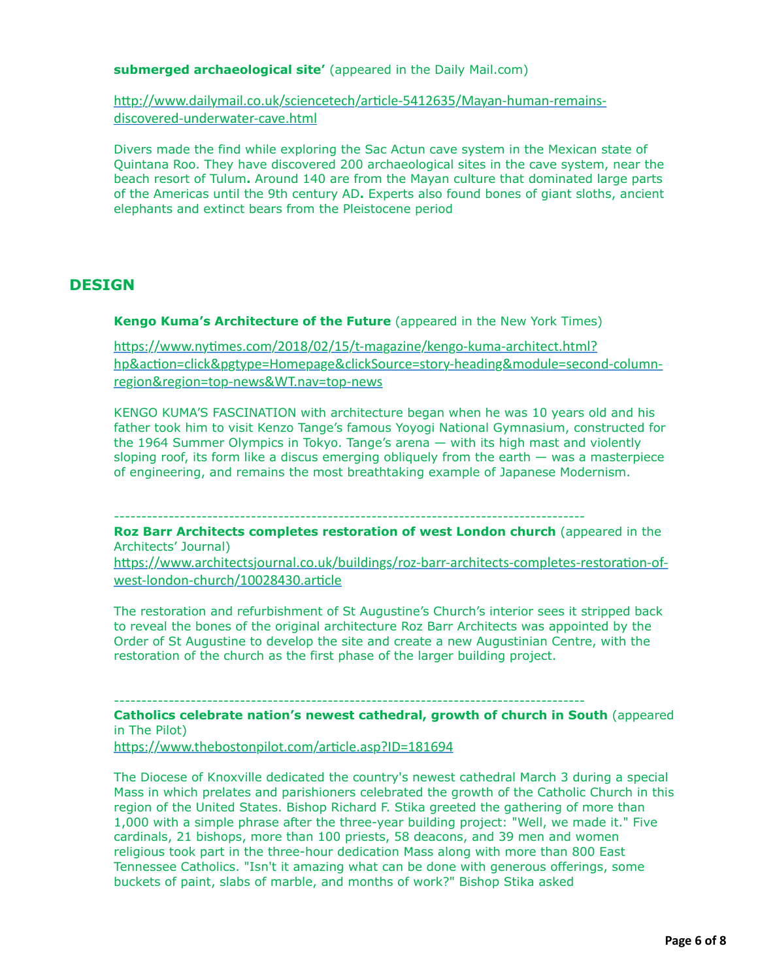**submerged archaeological site'** (appeared in the Daily Mail.com)

http://www.dailymail.co.uk/sciencetech/article-5412635/Mayan-human-remainsdiscovered-underwater-cave.html

Divers made the find while exploring the Sac Actun cave system in the Mexican state of Quintana Roo. They have discovered 200 archaeological sites in the cave system, near the beach resort of Tulum**.** Around 140 are from the Mayan culture that dominated large parts of the Americas until the 9th century AD**.** Experts also found bones of giant sloths, ancient elephants and extinct bears from the Pleistocene period

# **DESIGN**

**Kengo Kuma's Architecture of the Future** (appeared in the New York Times)

https://www.nytimes.com/2018/02/15/t-magazine/kengo-kuma-architect.html? hp&action=click&pgtype=Homepage&clickSource=story-heading&module=second-columnregion&region=top-news&WT.nav=top-news

KENGO KUMA'S FASCINATION with architecture began when he was 10 years old and his father took him to visit Kenzo Tange's famous Yoyogi National Gymnasium, constructed for the 1964 Summer Olympics in Tokyo. Tange's arena — with its high mast and violently sloping roof, its form like a discus emerging obliquely from the earth — was a masterpiece of engineering, and remains the most breathtaking example of Japanese Modernism.

--------------------------------------------------------------------------------------

**Roz Barr Architects completes restoration of west London church** (appeared in the Architects' Journal)

https://www.architectsjournal.co.uk/buildings/roz-barr-architects-completes-restoration-ofwest-london-church/10028430.article

The restoration and refurbishment of St Augustine's Church's interior sees it stripped back to reveal the bones of the original architecture Roz Barr Architects was appointed by the Order of St Augustine to develop the site and create a new Augustinian Centre, with the restoration of the church as the first phase of the larger building project.

--------------------------------------------------------------------------------------

**Catholics celebrate nation's newest cathedral, growth of church in South** (appeared in The Pilot)

https://www.thebostonpilot.com/article.asp?ID=181694

The Diocese of Knoxville dedicated the country's newest cathedral March 3 during a special Mass in which prelates and parishioners celebrated the growth of the Catholic Church in this region of the United States. Bishop Richard F. Stika greeted the gathering of more than 1,000 with a simple phrase after the three-year building project: "Well, we made it." Five cardinals, 21 bishops, more than 100 priests, 58 deacons, and 39 men and women religious took part in the three-hour dedication Mass along with more than 800 East Tennessee Catholics. "Isn't it amazing what can be done with generous offerings, some buckets of paint, slabs of marble, and months of work?" Bishop Stika asked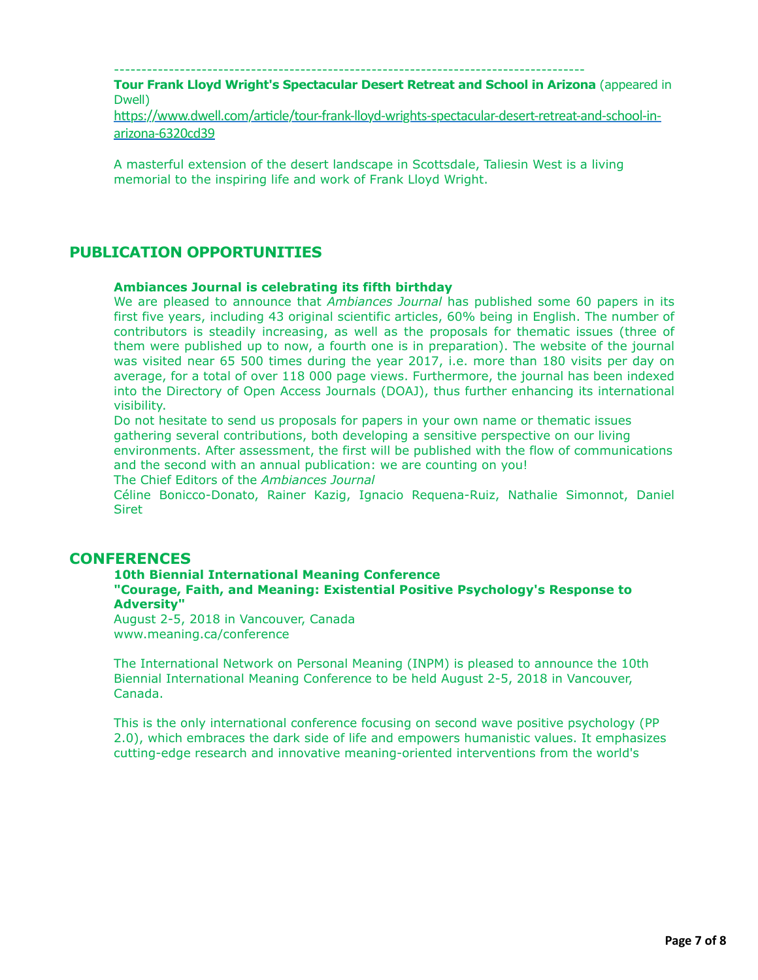--------------------------------------------------------------------------------------

**Tour Frank Lloyd Wright's Spectacular Desert Retreat and School in Arizona** (appeared in Dwell)

https://www.dwell.com/article/tour-frank-lloyd-wrights-spectacular-desert-retreat-and-school-inarizona-6320cd39

A masterful extension of the desert landscape in Scottsdale, Taliesin West is a living memorial to the inspiring life and work of Frank Lloyd Wright.

# **PUBLICATION OPPORTUNITIES**

### **Ambiances Journal is celebrating its fifth birthday**

We are pleased to announce that *Ambiances Journal* has published some 60 papers in its first five years, including 43 original scientific articles, 60% being in English. The number of contributors is steadily increasing, as well as the proposals for thematic issues (three of them were published up to now, a fourth one is in preparation). The website of the journal was visited near 65 500 times during the year 2017, i.e. more than 180 visits per day on average, for a total of over 118 000 page views. Furthermore, the journal has been indexed into the Directory of Open Access Journals (DOAJ), thus further enhancing its international visibility.

Do not hesitate to send us proposals for papers in your own name or thematic issues gathering several contributions, both developing a sensitive perspective on our living environments. After assessment, the first will be published with the flow of communications and the second with an annual publication: we are counting on you!

The Chief Editors of the *Ambiances Journal*

Céline Bonicco-Donato, Rainer Kazig, Ignacio Requena-Ruiz, Nathalie Simonnot, Daniel **Siret** 

# **CONFERENCES**

### **10th Biennial International Meaning Conference**

**"Courage, Faith, and Meaning: Existential Positive Psychology's Response to Adversity"**

August 2-5, 2018 in Vancouver, Canada www.meaning.ca/conference

The International Network on Personal Meaning (INPM) is pleased to announce the 10th Biennial International Meaning Conference to be held August 2-5, 2018 in Vancouver, Canada.

This is the only international conference focusing on second wave positive psychology (PP 2.0), which embraces the dark side of life and empowers humanistic values. It emphasizes cutting-edge research and innovative meaning-oriented interventions from the world's